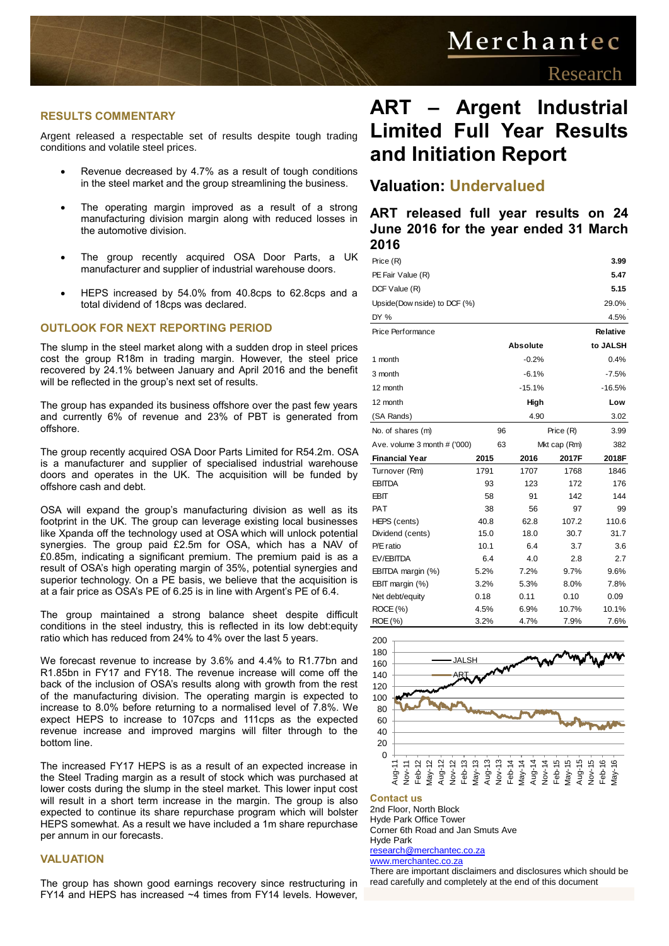# Merchantec

#### **RESULTS COMMENTARY**

Argent released a respectable set of results despite tough trading conditions and volatile steel prices.

- Revenue decreased by 4.7% as a result of tough conditions in the steel market and the group streamlining the business.
- The operating margin improved as a result of a strong manufacturing division margin along with reduced losses in the automotive division.
- The group recently acquired OSA Door Parts, a UK manufacturer and supplier of industrial warehouse doors.
- HEPS increased by 54.0% from 40.8cps to 62.8cps and a total dividend of 18cps was declared.

#### **OUTLOOK FOR NEXT REPORTING PERIOD**

The slump in the steel market along with a sudden drop in steel prices cost the group R18m in trading margin. However, the steel price recovered by 24.1% between January and April 2016 and the benefit will be reflected in the group's next set of results.

The group has expanded its business offshore over the past few years and currently 6% of revenue and 23% of PBT is generated from offshore.

The group recently acquired OSA Door Parts Limited for R54.2m. OSA is a manufacturer and supplier of specialised industrial warehouse doors and operates in the UK. The acquisition will be funded by offshore cash and debt.

OSA will expand the group's manufacturing division as well as its footprint in the UK. The group can leverage existing local businesses like Xpanda off the technology used at OSA which will unlock potential synergies. The group paid £2.5m for OSA, which has a NAV of £0.85m, indicating a significant premium. The premium paid is as a result of OSA's high operating margin of 35%, potential synergies and superior technology. On a PE basis, we believe that the acquisition is at a fair price as OSA's PE of 6.25 is in line with Argent's PE of 6.4.

The group maintained a strong balance sheet despite difficult conditions in the steel industry, this is reflected in its low debt:equity ratio which has reduced from 24% to 4% over the last 5 years.

We forecast revenue to increase by 3.6% and 4.4% to R1.77bn and R1.85bn in FY17 and FY18. The revenue increase will come off the back of the inclusion of OSA's results along with growth from the rest of the manufacturing division. The operating margin is expected to increase to 8.0% before returning to a normalised level of 7.8%. We expect HEPS to increase to 107cps and 111cps as the expected revenue increase and improved margins will filter through to the bottom line.

The increased FY17 HEPS is as a result of an expected increase in the Steel Trading margin as a result of stock which was purchased at lower costs during the slump in the steel market. This lower input cost will result in a short term increase in the margin. The group is also expected to continue its share repurchase program which will bolster HEPS somewhat. As a result we have included a 1m share repurchase per annum in our forecasts.

#### **VALUATION**

The group has shown good earnings recovery since restructuring in FY14 and HEPS has increased ~4 times from FY14 levels. However,

### **ART – Argent Industrial Limited Full Year Results and Initiation Report**

### **Valuation: Undervalued**

**ART released full year results on 24 June 2016 for the year ended 31 March 2016**

| Price (R)                    |      |                      |           | 3.99     |
|------------------------------|------|----------------------|-----------|----------|
| 5.47<br>PE Fair Value (R)    |      |                      |           |          |
| DCF Value (R)                |      |                      |           | 5.15     |
| Upside(Dow nside) to DCF (%) |      |                      | 29.0%     |          |
| DY %                         |      |                      |           | 4.5%     |
| Price Performance            |      |                      |           | Relative |
|                              |      | <b>Absolute</b>      |           | to JALSH |
| 1 month                      |      | $-0.2%$              |           | 0.4%     |
| 3 month                      |      | $-6.1%$              |           | $-7.5%$  |
| 12 month                     |      | $-15.1%$<br>$-16.5%$ |           |          |
| 12 month                     |      | High                 |           | Low      |
| (SA Rands)                   |      | 4.90                 |           | 3.02     |
| No. of shares (m)            |      | 96                   | Price (R) | 3.99     |
| Ave. volume 3 month # ('000) |      | 63<br>Mkt cap (Rm)   |           | 382      |
| <b>Financial Year</b>        | 2015 | 2016                 | 2017F     | 2018F    |
| Turnover (Rm)                | 1791 | 1707                 | 1768      | 1846     |
| <b>EBITDA</b>                | 93   | 123                  | 172       | 176      |
| EBIT                         | 58   | 91                   | 142       | 144      |
| <b>PAT</b>                   | 38   | 56                   | 97        | 99       |
| HEPS (cents)                 | 40.8 | 62.8                 | 107.2     | 110.6    |
| Dividend (cents)             | 15.0 | 18.0                 | 30.7      | 31.7     |
| P/E ratio                    | 10.1 | 6.4                  | 3.7       | 3.6      |
| EV/EBITDA                    | 6.4  | 4.0                  | 2.8       | 2.7      |
| EBITDA margin (%)            | 5.2% | 7.2%                 | 9.7%      | 9.6%     |
| EBIT margin (%)              | 3.2% | 5.3%                 | 8.0%      | 7.8%     |
| Net debt/equity              | 0.18 | 0.11                 | 0.10      | 0.09     |
| ROCE (%)                     | 4.5% | 6.9%                 | 10.7%     | 10.1%    |
| ROE (%)                      | 3.2% | 4.7%                 | 7.9%      | 7.6%     |



#### **Contact us**

2nd Floor, North Block Hyde Park Office Tower Corner 6th Road and Jan Smuts Ave Hyde Park

[research@merchantec.co.za](mailto:research@merchantec.co.za) [www.merchantec.co.za](http://www.merchantec.co.za/)

There are important disclaimers and disclosures which should be read carefully and completely at the end of this document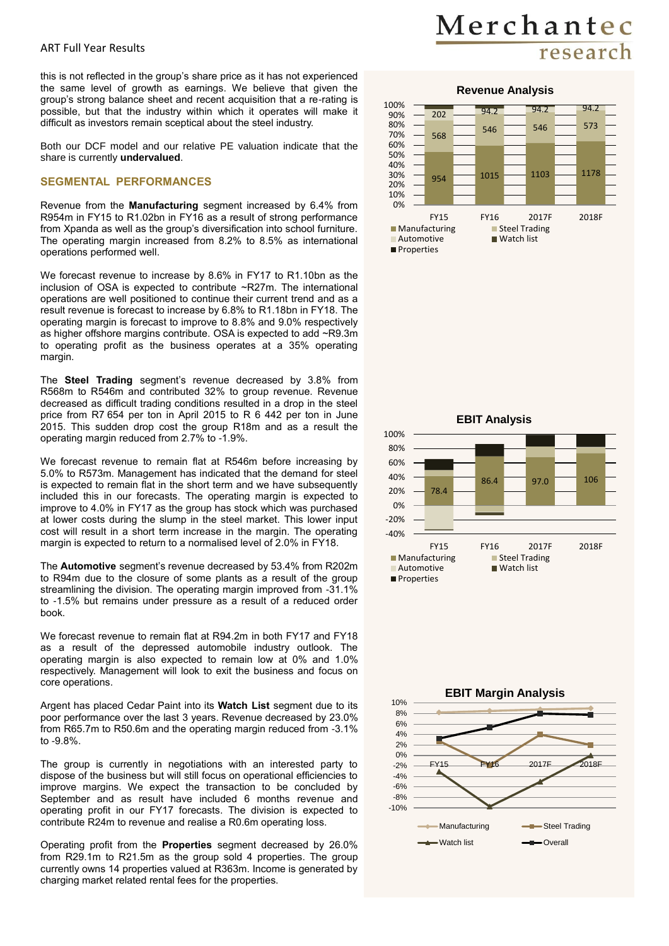this is not reflected in the group's share price as it has not experienced the same level of growth as earnings. We believe that given the group's strong balance sheet and recent acquisition that a re-rating is possible, but that the industry within which it operates will make it difficult as investors remain sceptical about the steel industry.

Both our DCF model and our relative PE valuation indicate that the share is currently **undervalued**.

#### **SEGMENTAL PERFORMANCES**

Revenue from the **Manufacturing** segment increased by 6.4% from R954m in FY15 to R1.02bn in FY16 as a result of strong performance from Xpanda as well as the group's diversification into school furniture. The operating margin increased from 8.2% to 8.5% as international operations performed well.

We forecast revenue to increase by 8.6% in FY17 to R1.10bn as the inclusion of OSA is expected to contribute ~R27m. The international operations are well positioned to continue their current trend and as a result revenue is forecast to increase by 6.8% to R1.18bn in FY18. The operating margin is forecast to improve to 8.8% and 9.0% respectively as higher offshore margins contribute. OSA is expected to add ~R9.3m to operating profit as the business operates at a 35% operating margin.

The **Steel Trading** segment's revenue decreased by 3.8% from R568m to R546m and contributed 32% to group revenue. Revenue decreased as difficult trading conditions resulted in a drop in the steel price from R7 654 per ton in April 2015 to R 6 442 per ton in June 2015. This sudden drop cost the group R18m and as a result the operating margin reduced from 2.7% to -1.9%.

We forecast revenue to remain flat at R546m before increasing by 5.0% to R573m. Management has indicated that the demand for steel is expected to remain flat in the short term and we have subsequently included this in our forecasts. The operating margin is expected to improve to 4.0% in FY17 as the group has stock which was purchased at lower costs during the slump in the steel market. This lower input cost will result in a short term increase in the margin. The operating margin is expected to return to a normalised level of 2.0% in FY18.

The **Automotive** segment's revenue decreased by 53.4% from R202m to R94m due to the closure of some plants as a result of the group streamlining the division. The operating margin improved from -31.1% to -1.5% but remains under pressure as a result of a reduced order book.

We forecast revenue to remain flat at R94.2m in both FY17 and FY18 as a result of the depressed automobile industry outlook. The operating margin is also expected to remain low at 0% and 1.0% respectively. Management will look to exit the business and focus on core operations.

Argent has placed Cedar Paint into its **Watch List** segment due to its poor performance over the last 3 years. Revenue decreased by 23.0% from R65.7m to R50.6m and the operating margin reduced from -3.1% to -9.8%.

The group is currently in negotiations with an interested party to dispose of the business but will still focus on operational efficiencies to improve margins. We expect the transaction to be concluded by September and as result have included 6 months revenue and operating profit in our FY17 forecasts. The division is expected to contribute R24m to revenue and realise a R0.6m operating loss.

Operating profit from the **Properties** segment decreased by 26.0% from R29.1m to R21.5m as the group sold 4 properties. The group currently owns 14 properties valued at R363m. Income is generated by charging market related rental fees for the properties.

## Merchantec research





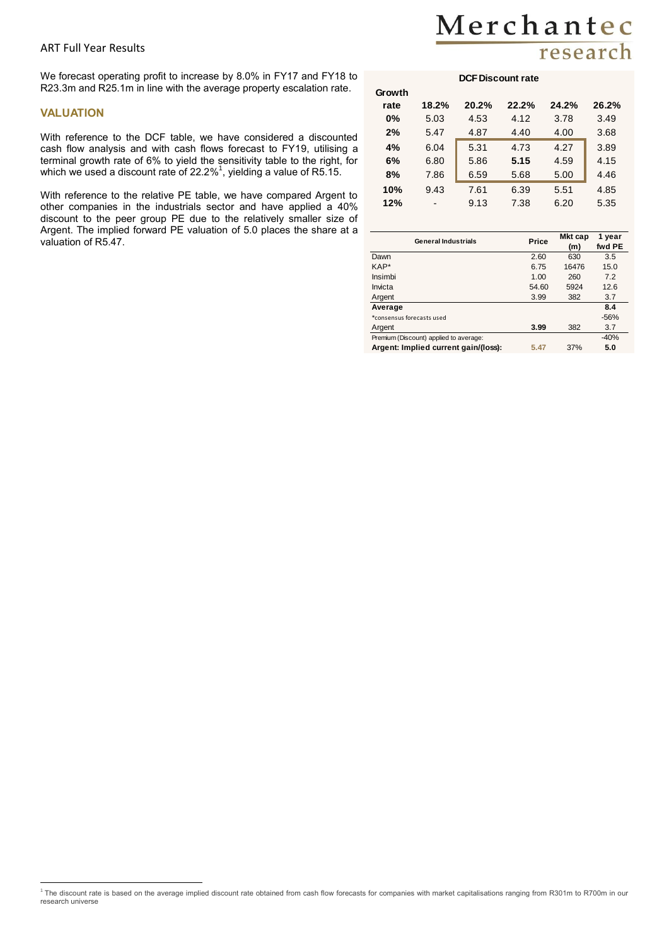### ART Full Year Results

We forecast operating profit to increase by 8.0% in FY17 and FY18 to R23.3m and R25.1m in line with the average property escalation rate.

#### **VALUATION**

With reference to the DCF table, we have considered a discounted cash flow analysis and with cash flows forecast to FY19, utilising a terminal growth rate of 6% to yield the sensitivity table to the right, for which we used a discount rate of 22.2%<sup>1</sup>, yielding a value of R5.15.

With reference to the relative PE table, we have compared Argent to other companies in the industrials sector and have applied a 40% discount to the peer group PE due to the relatively smaller size of Argent. The implied forward PE valuation of 5.0 places the share at a valuation of R5.47.

### Merchantec research

#### **DCF Discount rate**

| Growth |                          |       |       |       |       |
|--------|--------------------------|-------|-------|-------|-------|
| rate   | 18.2%                    | 20.2% | 22.2% | 24.2% | 26.2% |
| $0\%$  | 5.03                     | 4.53  | 4.12  | 3.78  | 3.49  |
| 2%     | 5.47                     | 4.87  | 4.40  | 4.00  | 3.68  |
| 4%     | 6.04                     | 5.31  | 4.73  | 4.27  | 3.89  |
| 6%     | 6.80                     | 5.86  | 5.15  | 4.59  | 4.15  |
| 8%     | 7.86                     | 6.59  | 5.68  | 5.00  | 4.46  |
| 10%    | 9.43                     | 7.61  | 6.39  | 5.51  | 4.85  |
| 12%    | $\overline{\phantom{0}}$ | 9.13  | 7.38  | 6.20  | 5.35  |
|        |                          |       |       |       |       |

| <b>General Industrials</b>             | Price | Mkt cap<br>(m) | 1 year<br>fwd PE |
|----------------------------------------|-------|----------------|------------------|
| Dawn                                   | 2.60  | 630            | 3.5              |
| KAP*                                   | 6.75  | 16476          | 15.0             |
| Insimbi                                | 1.00  | 260            | 7.2              |
| Invicta                                | 54.60 | 5924           | 12.6             |
| Argent                                 | 3.99  | 382            | 3.7              |
| Average                                |       |                | 8.4              |
| *consensus forecasts used              |       |                | $-56%$           |
| Argent                                 | 3.99  | 382            | 3.7              |
| Premium (Discount) applied to average: |       |                | $-40%$           |
| Argent: Implied current gain/(loss):   | 5.47  | 37%            | 5.0              |

 1 The discount rate is based on the average implied discount rate obtained from cash flow forecasts for companies with market capitalisations ranging from R301m to R700m in our research universe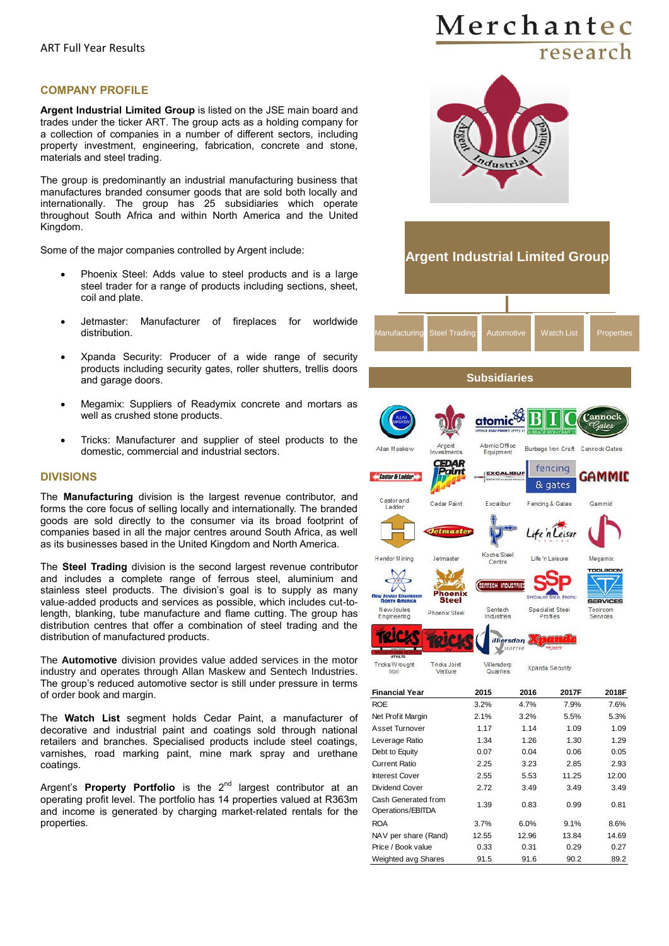#### **COMPANY PROFILE**

**Argent Industrial Limited Group** is listed on the JSE main board and trades under the ticker ART. The group acts as a holding company for a collection of companies in a number of different sectors, including property investment, engineering, fabrication, concrete and stone, materials and steel trading.

The group is predominantly an industrial manufacturing business that manufactures branded consumer goods that are sold both locally and internationally. The group has 25 subsidiaries which operate throughout South Africa and within North America and the United Kingdom.

Some of the major companies controlled by Argent include:

- Phoenix Steel: Adds value to steel products and is a large steel trader for a range of products including sections, sheet, coil and plate.
- Jetmaster: Manufacturer of fireplaces for worldwide distribution.
- Xpanda Security: Producer of a wide range of security products including security gates, roller shutters, trellis doors and garage doors.
- Megamix: Suppliers of Readymix concrete and mortars as well as crushed stone products.
- Tricks: Manufacturer and supplier of steel products to the domestic, commercial and industrial sectors.

#### **DIVISIONS**

The **Manufacturing** division is the largest revenue contributor, and forms the core focus of selling locally and internationally. The branded goods are sold directly to the consumer via its broad footprint of companies based in all the major centres around South Africa, as well as its businesses based in the United Kingdom and North America.

The **Steel Trading** division is the second largest revenue contributor and includes a complete range of ferrous steel, aluminium and stainless steel products. The division's goal is to supply as many value-added products and services as possible, which includes cut-tolength, blanking, tube manufacture and flame cutting. The group has distribution centres that offer a combination of steel trading and the distribution of manufactured products.

The **Automotive** division provides value added services in the motor industry and operates through Allan Maskew and Sentech Industries. The group's reduced automotive sector is still under pressure in terms of order book and margin.

The **Watch List** segment holds Cedar Paint, a manufacturer of decorative and industrial paint and coatings sold through national retailers and branches. Specialised products include steel coatings, varnishes, road marking paint, mine mark spray and urethane coatings.

Argent's **Property Portfolio** is the 2<sup>nd</sup> largest contributor at an operating profit level. The portfolio has 14 properties valued at R363m and income is generated by charging market-related rentals for the properties.

### Merchantec research





Weighted avg Shares 91.5 91.6 90.2 89.2